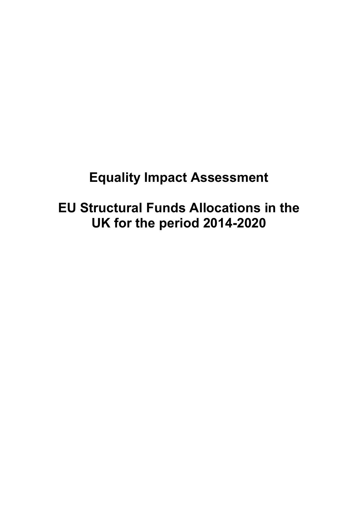# **Equality Impact Assessment**

**EU Structural Funds Allocations in the UK for the period 2014-2020**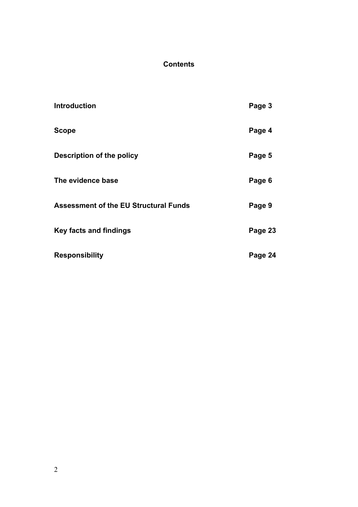# **Contents**

| <b>Introduction</b>                          | Page 3  |
|----------------------------------------------|---------|
| <b>Scope</b>                                 | Page 4  |
| <b>Description of the policy</b>             | Page 5  |
| The evidence base                            | Page 6  |
| <b>Assessment of the EU Structural Funds</b> | Page 9  |
| <b>Key facts and findings</b>                | Page 23 |
| <b>Responsibility</b>                        | Page 24 |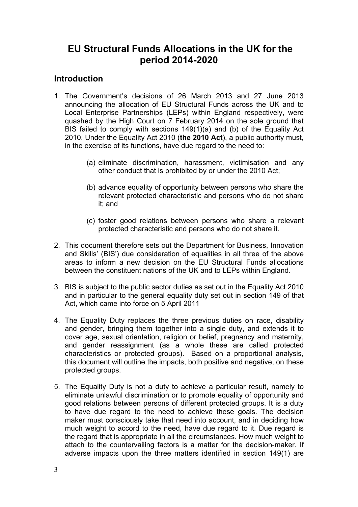# **EU Structural Funds Allocations in the UK for the period 2014-2020**

# **Introduction**

- 1. The Government's decisions of 26 March 2013 and 27 June 2013 announcing the allocation of EU Structural Funds across the UK and to Local Enterprise Partnerships (LEPs) within England respectively, were quashed by the High Court on 7 February 2014 on the sole ground that BIS failed to comply with sections 149(1)(a) and (b) of the Equality Act 2010. Under the Equality Act 2010 (**the 2010 Act**), a public authority must, in the exercise of its functions, have due regard to the need to:
	- (a) eliminate discrimination, harassment, victimisation and any other conduct that is prohibited by or under the 2010 Act;
	- (b) advance equality of opportunity between persons who share the relevant protected characteristic and persons who do not share it; and
	- (c) foster good relations between persons who share a relevant protected characteristic and persons who do not share it.
- 2. This document therefore sets out the Department for Business, Innovation and Skills' (BIS') due consideration of equalities in all three of the above areas to inform a new decision on the EU Structural Funds allocations between the constituent nations of the UK and to LEPs within England.
- 3. BIS is subject to the public sector duties as set out in the Equality Act 2010 and in particular to the general equality duty set out in section 149 of that Act, which came into force on 5 April 2011
- 4. The Equality Duty replaces the three previous duties on race, disability and gender, bringing them together into a single duty, and extends it to cover age, sexual orientation, religion or belief, pregnancy and maternity, and gender reassignment (as a whole these are called protected characteristics or protected groups). Based on a proportional analysis, this document will outline the impacts, both positive and negative, on these protected groups.
- <span id="page-2-0"></span>5. The Equality Duty is not a duty to achieve a particular result, namely to eliminate unlawful discrimination or to promote equality of opportunity and good relations between persons of different protected groups. It is a duty to have due regard to the need to achieve these goals. The decision maker must consciously take that need into account, and in deciding how much weight to accord to the need, have due regard to it. Due regard is the regard that is appropriate in all the circumstances. How much weight to attach to the countervailing factors is a matter for the decision-maker. If adverse impacts upon the three matters identified in section 149(1) are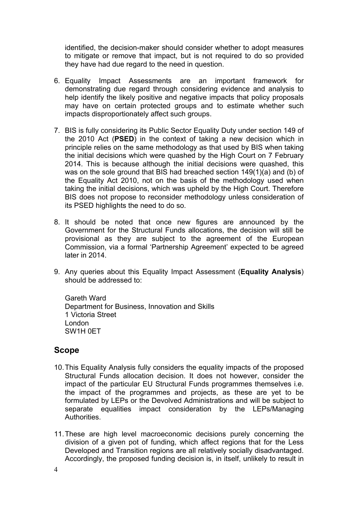identified, the decision-maker should consider whether to adopt measures to mitigate or remove that impact, but is not required to do so provided they have had due regard to the need in question.

- 6. Equality Impact Assessments are an important framework for demonstrating due regard through considering evidence and analysis to help identify the likely positive and negative impacts that policy proposals may have on certain protected groups and to estimate whether such impacts disproportionately affect such groups.
- 7. BIS is fully considering its Public Sector Equality Duty under section 149 of the 2010 Act (**PSED**) in the context of taking a new decision which in principle relies on the same methodology as that used by BIS when taking the initial decisions which were quashed by the High Court on 7 February 2014. This is because although the initial decisions were quashed, this was on the sole ground that BIS had breached section 149(1)(a) and (b) of the Equality Act 2010, not on the basis of the methodology used when taking the initial decisions, which was upheld by the High Court. Therefore BIS does not propose to reconsider methodology unless consideration of its PSED highlights the need to do so.
- 8. It should be noted that once new figures are announced by the Government for the Structural Funds allocations, the decision will still be provisional as they are subject to the agreement of the European Commission, via a formal 'Partnership Agreement' expected to be agreed later in 2014.
- 9. Any queries about this Equality Impact Assessment (**Equality Analysis**) should be addressed to:

Gareth Ward Department for Business, Innovation and Skills 1 Victoria Street London SW1H 0ET

# **Scope**

- 10. This Equality Analysis fully considers the equality impacts of the proposed Structural Funds allocation decision. It does not however, consider the impact of the particular EU Structural Funds programmes themselves i.e. the impact of the programmes and projects, as these are yet to be formulated by LEPs or the Devolved Administrations and will be subject to separate equalities impact consideration by the LEPs/Managing Authorities.
- 11. These are high level macroeconomic decisions purely concerning the division of a given pot of funding, which affect regions that for the Less Developed and Transition regions are all relatively socially disadvantaged. Accordingly, the proposed funding decision is, in itself, unlikely to result in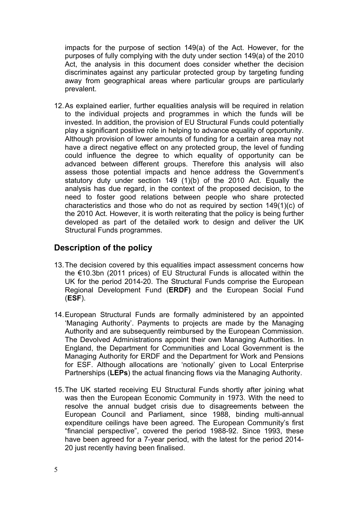impacts for the purpose of section 149(a) of the Act. However, for the purposes of fully complying with the duty under section 149(a) of the 2010 Act, the analysis in this document does consider whether the decision discriminates against any particular protected group by targeting funding away from geographical areas where particular groups are particularly prevalent.

12. As explained earlier, further equalities analysis will be required in relation to the individual projects and programmes in which the funds will be invested. In addition, the provision of EU Structural Funds could potentially play a significant positive role in helping to advance equality of opportunity. Although provision of lower amounts of funding for a certain area may not have a direct negative effect on any protected group, the level of funding could influence the degree to which equality of opportunity can be advanced between different groups. Therefore this analysis will also assess those potential impacts and hence address the Government's statutory duty under section 149 (1)(b) of the 2010 Act. Equally the analysis has due regard, in the context of the proposed decision, to the need to foster good relations between people who share protected characteristics and those who do not as required by section 149(1)(c) of the 2010 Act. However, it is worth reiterating that the policy is being further developed as part of the detailed work to design and deliver the UK Structural Funds programmes.

# **Description of the policy**

- 13. The decision covered by this equalities impact assessment concerns how the €10.3bn (2011 prices) of EU Structural Funds is allocated within the UK for the period 2014-20. The Structural Funds comprise the European Regional Development Fund (**ERDF)** and the European Social Fund (**ESF**).
- 14. European Structural Funds are formally administered by an appointed 'Managing Authority'. Payments to projects are made by the Managing Authority and are subsequently reimbursed by the European Commission. The Devolved Administrations appoint their own Managing Authorities. In England, the Department for Communities and Local Government is the Managing Authority for ERDF and the Department for Work and Pensions for ESF. Although allocations are 'notionally' given to Local Enterprise Partnerships (**LEPs**) the actual financing flows via the Managing Authority.
- 15. The UK started receiving EU Structural Funds shortly after joining what was then the European Economic Community in 1973. With the need to resolve the annual budget crisis due to disagreements between the European Council and Parliament, since 1988, binding multi-annual expenditure ceilings have been agreed. The European Community's first "financial perspective", covered the period 1988-92. Since 1993, these have been agreed for a 7-year period, with the latest for the period 2014- 20 just recently having been finalised.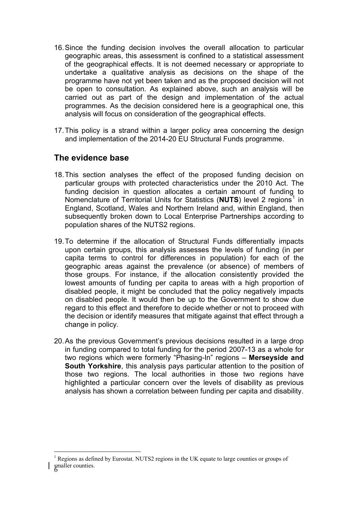- 16.Since the funding decision involves the overall allocation to particular geographic areas, this assessment is confined to a statistical assessment of the geographical effects. It is not deemed necessary or appropriate to undertake a qualitative analysis as decisions on the shape of the programme have not yet been taken and as the proposed decision will not be open to consultation. As explained above, such an analysis will be carried out as part of the design and implementation of the actual programmes. As the decision considered here is a geographical one, this analysis will focus on consideration of the geographical effects.
- 17. This policy is a strand within a larger policy area concerning the design and implementation of the 2014-20 EU Structural Funds programme.

# **The evidence base**

1

- 18. This section analyses the effect of the proposed funding decision on particular groups with protected characteristics under the 2010 Act. The funding decision in question allocates a certain amount of funding to Nomenclature of Territorial Units for Statistics (NUTS) level 2 regions<sup>[1](#page-2-0)</sup> in England, Scotland, Wales and Northern Ireland and, within England, then subsequently broken down to Local Enterprise Partnerships according to population shares of the NUTS2 regions.
- 19. To determine if the allocation of Structural Funds differentially impacts upon certain groups, this analysis assesses the levels of funding (in per capita terms to control for differences in population) for each of the geographic areas against the prevalence (or absence) of members of those groups. For instance, if the allocation consistently provided the lowest amounts of funding per capita to areas with a high proportion of disabled people, it might be concluded that the policy negatively impacts on disabled people. It would then be up to the Government to show due regard to this effect and therefore to decide whether or not to proceed with the decision or identify measures that mitigate against that effect through a change in policy.
- 20. As the previous Government's previous decisions resulted in a large drop in funding compared to total funding for the period 2007-13 as a whole for two regions which were formerly "Phasing-In" regions – **Merseyside and South Yorkshire**, this analysis pays particular attention to the position of those two regions. The local authorities in those two regions have highlighted a particular concern over the levels of disability as previous analysis has shown a correlation between funding per capita and disability.

smaller counties. 1 Regions as defined by Eurostat. NUTS2 regions in the UK equate to large counties or groups of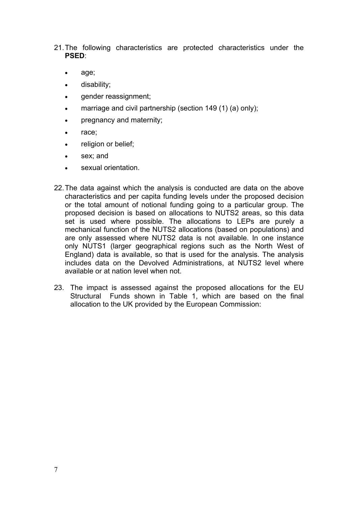21.The following characteristics are protected characteristics under the **PSED**:

- age;
- disability;
- gender reassignment;
- marriage and civil partnership (section 149 (1) (a) only);
- pregnancy and maternity;
- race:
- religion or belief;
- sex; and
- sexual orientation.
- 22. The data against which the analysis is conducted are data on the above characteristics and per capita funding levels under the proposed decision or the total amount of notional funding going to a particular group. The proposed decision is based on allocations to NUTS2 areas, so this data set is used where possible. The allocations to LEPs are purely a mechanical function of the NUTS2 allocations (based on populations) and are only assessed where NUTS2 data is not available. In one instance only NUTS1 (larger geographical regions such as the North West of England) data is available, so that is used for the analysis. The analysis includes data on the Devolved Administrations, at NUTS2 level where available or at nation level when not.
- 23. The impact is assessed against the proposed allocations for the EU Structural Funds shown in Table 1, which are based on the final allocation to the UK provided by the European Commission: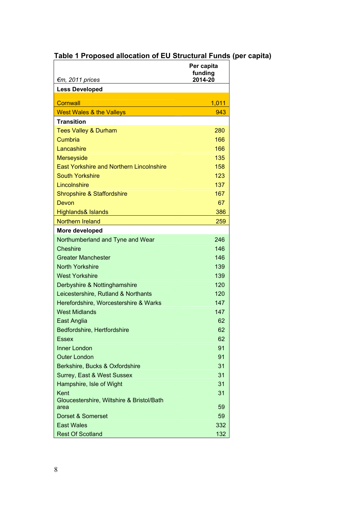# **Table 1 Proposed allocation of EU Structural Funds (per capita)**

|                                                   | Per capita<br>funding |
|---------------------------------------------------|-----------------------|
| €m, 2011 prices                                   | 2014-20               |
| <b>Less Developed</b>                             |                       |
| Cornwall                                          | 1,011                 |
| <b>West Wales &amp; the Valleys</b>               | 943                   |
| <b>Transition</b>                                 |                       |
| <b>Tees Valley &amp; Durham</b>                   | 280                   |
| Cumbria                                           | 166                   |
| Lancashire                                        | 166                   |
| <b>Merseyside</b>                                 | 135                   |
| <b>East Yorkshire and Northern Lincolnshire</b>   | 158                   |
| <b>South Yorkshire</b>                            | 123                   |
| Lincolnshire                                      | 137                   |
| <b>Shropshire &amp; Staffordshire</b>             | 167                   |
| Devon                                             | 67                    |
| <b>Highlands&amp; Islands</b>                     | 386                   |
| Northern Ireland                                  | 259                   |
| More developed                                    |                       |
| Northumberland and Tyne and Wear                  | 246                   |
| <b>Cheshire</b>                                   | 146                   |
| <b>Greater Manchester</b>                         | 146                   |
| <b>North Yorkshire</b>                            | 139                   |
| <b>West Yorkshire</b>                             | 139                   |
| Derbyshire & Nottinghamshire                      | 120                   |
| Leicestershire, Rutland & Northants               | 120                   |
| Herefordshire, Worcestershire & Warks             | 147                   |
| <b>West Midlands</b>                              | 147                   |
| <b>East Anglia</b>                                | 62                    |
| Bedfordshire, Hertfordshire                       | 62                    |
| Essex                                             | 62                    |
| Inner London                                      | 91                    |
| <b>Outer London</b>                               | 91                    |
| Berkshire, Bucks & Oxfordshire                    | 31                    |
| Surrey, East & West Sussex                        | 31                    |
| Hampshire, Isle of Wight                          | 31                    |
| Kent                                              | 31                    |
| Gloucestershire, Wiltshire & Bristol/Bath<br>area | 59                    |
| Dorset & Somerset                                 | 59                    |
| <b>East Wales</b>                                 | 332                   |
| <b>Rest Of Scotland</b>                           | 132                   |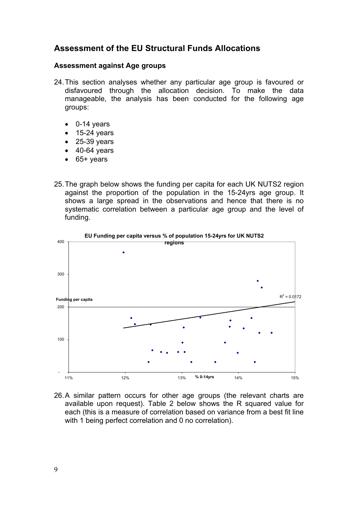# **Assessment of the EU Structural Funds Allocations**

#### **Assessment against Age groups**

- 24.This section analyses whether any particular age group is favoured or disfavoured through the allocation decision. To make the data manageable, the analysis has been conducted for the following age groups:
	- 0-14 years
	- $\bullet$  15-24 years
	- 25-39 years
	- $\bullet$  40-64 years
	- 65+ years
- 25. The graph below shows the funding per capita for each UK NUTS2 region against the proportion of the population in the 15-24yrs age group. It shows a large spread in the observations and hence that there is no systematic correlation between a particular age group and the level of funding.



26. A similar pattern occurs for other age groups (the relevant charts are available upon request). Table 2 below shows the R squared value for each (this is a measure of correlation based on variance from a best fit line with 1 being perfect correlation and 0 no correlation).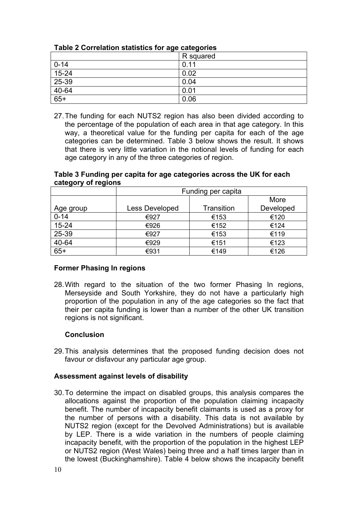| $1400 + 901101410110140010010149004090100$ |           |
|--------------------------------------------|-----------|
|                                            | R squared |
| $0 - 14$                                   | 0.11      |
| $15 - 24$                                  | 0.02      |
| 25-39                                      | 0.04      |
| $40-64$                                    | 0.01      |
| $65+$                                      | 0.06      |

# **Table 2 Correlation statistics for age categories**

27. The funding for each NUTS2 region has also been divided according to the percentage of the population of each area in that age category. In this way, a theoretical value for the funding per capita for each of the age categories can be determined. Table 3 below shows the result. It shows that there is very little variation in the notional levels of funding for each age category in any of the three categories of region.

| valvyvi y vi rvyivilo |                       |                   |           |
|-----------------------|-----------------------|-------------------|-----------|
|                       | Funding per capita    |                   |           |
|                       |                       |                   | More      |
| Age group             | <b>Less Developed</b> | <b>Transition</b> | Developed |
| $0 - 14$              | €927                  | €153              | €120      |
| $15 - 24$             | €926                  | €152              | €124      |
| 25-39                 | €927                  | €153              | €119      |
| 40-64                 | €929                  | €151              | €123      |
| $65+$                 | €931                  | €149              | €126      |

#### **Table 3 Funding per capita for age categories across the UK for each category of regions**

# **Former Phasing In regions**

28.With regard to the situation of the two former Phasing In regions, Merseyside and South Yorkshire, they do not have a particularly high proportion of the population in any of the age categories so the fact that their per capita funding is lower than a number of the other UK transition regions is not significant.

# **Conclusion**

29.This analysis determines that the proposed funding decision does not favour or disfavour any particular age group.

# **Assessment against levels of disability**

30.To determine the impact on disabled groups, this analysis compares the allocations against the proportion of the population claiming incapacity benefit. The number of incapacity benefit claimants is used as a proxy for the number of persons with a disability. This data is not available by NUTS2 region (except for the Devolved Administrations) but is available by LEP. There is a wide variation in the numbers of people claiming incapacity benefit, with the proportion of the population in the highest LEP or NUTS2 region (West Wales) being three and a half times larger than in the lowest (Buckinghamshire). Table 4 below shows the incapacity benefit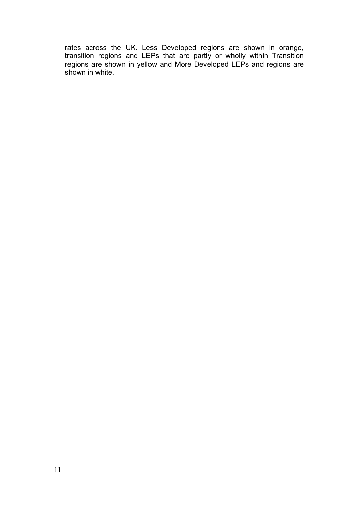rates across the UK. Less Developed regions are shown in orange, transition regions and LEPs that are partly or wholly within Transition regions are shown in yellow and More Developed LEPs and regions are shown in white.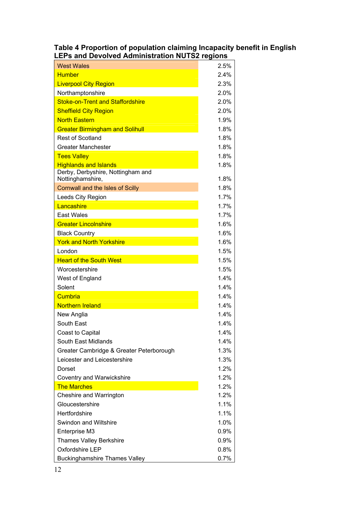#### **Table 4 Proportion of population claiming Incapacity benefit in English LEPs and Devolved Administration NUTS2 regions**

| <b>West Wales</b>                                     | 2.5%    |
|-------------------------------------------------------|---------|
| <b>Humber</b>                                         | 2.4%    |
| <b>Liverpool City Region</b>                          | 2.3%    |
| Northamptonshire                                      | 2.0%    |
| Stoke-on-Trent and Staffordshire                      | 2.0%    |
| <b>Sheffield City Region</b>                          | $2.0\%$ |
| <b>North Eastern</b>                                  | 1.9%    |
| <b>Greater Birmingham and Solihull</b>                | 1.8%    |
| <b>Rest of Scotland</b>                               | 1.8%    |
| <b>Greater Manchester</b>                             | 1.8%    |
| <b>Tees Valley</b>                                    | 1.8%    |
| <b>Highlands and Islands</b>                          | 1.8%    |
| Derby, Derbyshire, Nottingham and<br>Nottinghamshire, | 1.8%    |
| <b>Cornwall and the Isles of Scilly</b>               | 1.8%    |
| Leeds City Region                                     | 1.7%    |
| Lancashire                                            | 1.7%    |
| <b>East Wales</b>                                     | 1.7%    |
| <b>Greater Lincolnshire</b>                           | 1.6%    |
| <b>Black Country</b>                                  | 1.6%    |
| <b>York and North Yorkshire</b>                       | 1.6%    |
| London                                                | 1.5%    |
| <b>Heart of the South West</b>                        | 1.5%    |
| Worcestershire                                        | 1.5%    |
| West of England                                       | 1.4%    |
| Solent                                                | 1.4%    |
| Cumbria                                               | 1.4%    |
| <b>Northern Ireland</b>                               | 1.4%    |
| New Anglia                                            | 1.4%    |
| South East                                            | 1.4%    |
| Coast to Capital                                      | 1.4%    |
| South East Midlands                                   | 1.4%    |
| Greater Cambridge & Greater Peterborough              | 1.3%    |
| Leicester and Leicestershire                          | 1.3%    |
| Dorset                                                | 1.2%    |
| Coventry and Warwickshire                             | 1.2%    |
| <b>The Marches</b>                                    | 1.2%    |
| Cheshire and Warrington                               | 1.2%    |
| Gloucestershire                                       | 1.1%    |
| Hertfordshire                                         | 1.1%    |
| Swindon and Wiltshire                                 | 1.0%    |
| Enterprise M3                                         | $0.9\%$ |
| <b>Thames Valley Berkshire</b>                        | $0.9\%$ |
| Oxfordshire LEP                                       | $0.8\%$ |
| <b>Buckinghamshire Thames Valley</b>                  | 0.7%    |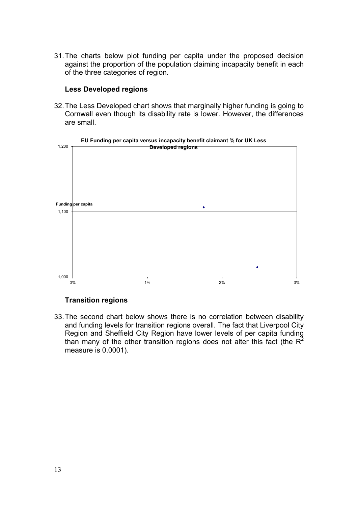31.The charts below plot funding per capita under the proposed decision against the proportion of the population claiming incapacity benefit in each of the three categories of region.

#### **Less Developed regions**

32.The Less Developed chart shows that marginally higher funding is going to Cornwall even though its disability rate is lower. However, the differences are small.



# **Transition regions**

33.The second chart below shows there is no correlation between disability and funding levels for transition regions overall. The fact that Liverpool City Region and Sheffield City Region have lower levels of per capita funding than many of the other transition regions does not alter this fact (the  $R^2$ measure is 0.0001).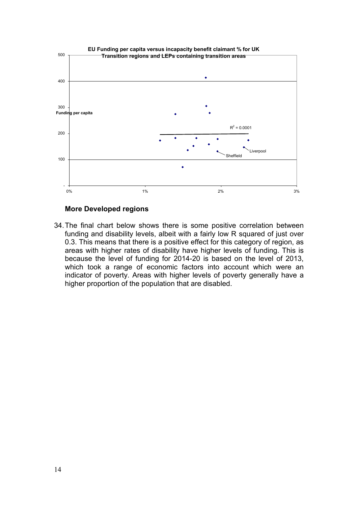

#### **More Developed regions**

34.The final chart below shows there is some positive correlation between funding and disability levels, albeit with a fairly low R squared of just over 0.3. This means that there is a positive effect for this category of region, as areas with higher rates of disability have higher levels of funding. This is because the level of funding for 2014-20 is based on the level of 2013, which took a range of economic factors into account which were an indicator of poverty. Areas with higher levels of poverty generally have a higher proportion of the population that are disabled.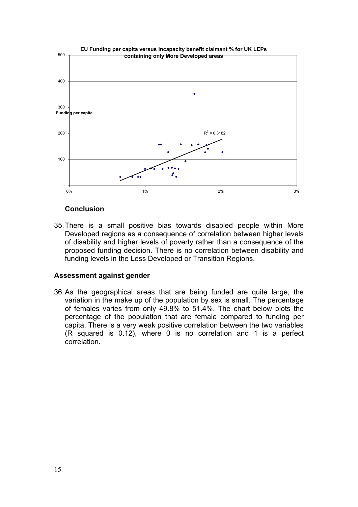

#### **Conclusion**

35.There is a small positive bias towards disabled people within More Developed regions as a consequence of correlation between higher levels of disability and higher levels of poverty rather than a consequence of the proposed funding decision. There is no correlation between disability and funding levels in the Less Developed or Transition Regions.

#### **Assessment against gender**

36.As the geographical areas that are being funded are quite large, the variation in the make up of the population by sex is small. The percentage of females varies from only 49.8% to 51.4%. The chart below plots the percentage of the population that are female compared to funding per capita. There is a very weak positive correlation between the two variables (R squared is 0.12), where 0 is no correlation and 1 is a perfect correlation.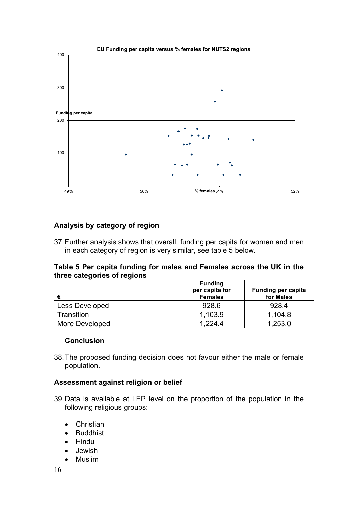

## **Analysis by category of region**

37.Further analysis shows that overall, funding per capita for women and men in each category of region is very similar, see table 5 below.

#### **Table 5 Per capita funding for males and Females across the UK in the three categories of regions**

| €                     | <b>Funding</b><br>per capita for<br><b>Females</b> | <b>Funding per capita</b><br>for Males |
|-----------------------|----------------------------------------------------|----------------------------------------|
| Less Developed        | 928.6                                              | 928.4                                  |
| Transition            | 1,103.9                                            | 1,104.8                                |
| <b>More Developed</b> | 1.224.4                                            | 1,253.0                                |

#### **Conclusion**

38.The proposed funding decision does not favour either the male or female population.

#### **Assessment against religion or belief**

- 39.Data is available at LEP level on the proportion of the population in the following religious groups:
	- Christian
	- Buddhist
	- Hindu
	- Jewish
	- Muslim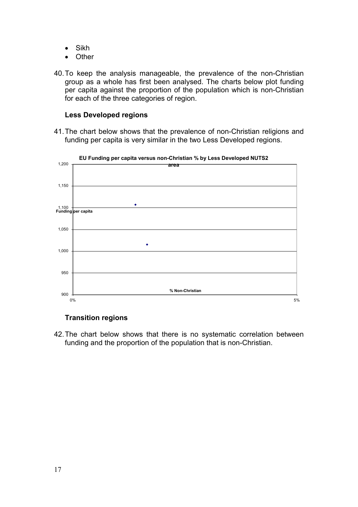- Sikh
- Other
- 40.To keep the analysis manageable, the prevalence of the non-Christian group as a whole has first been analysed. The charts below plot funding per capita against the proportion of the population which is non-Christian for each of the three categories of region.

#### **Less Developed regions**

41.The chart below shows that the prevalence of non-Christian religions and funding per capita is very similar in the two Less Developed regions.



**EU Funding per capita versus non-Christian % by Less Developed NUTS2** 

## **Transition regions**

42.The chart below shows that there is no systematic correlation between funding and the proportion of the population that is non-Christian.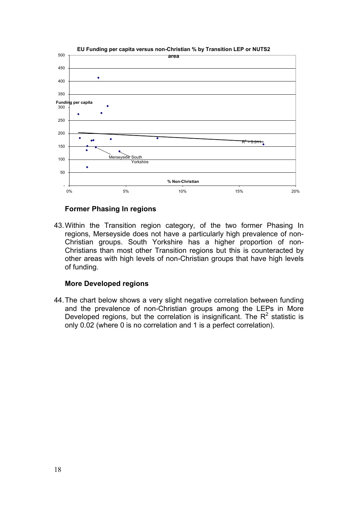

#### **EU Funding per capita versus non-Christian % by Transition LEP or NUTS2**

#### **Former Phasing In regions**

43.Within the Transition region category, of the two former Phasing In regions, Merseyside does not have a particularly high prevalence of non-Christian groups. South Yorkshire has a higher proportion of non-Christians than most other Transition regions but this is counteracted by other areas with high levels of non-Christian groups that have high levels of funding.

#### **More Developed regions**

44.The chart below shows a very slight negative correlation between funding and the prevalence of non-Christian groups among the LEPs in More Developed regions, but the correlation is insignificant. The  $R^2$  statistic is only 0.02 (where 0 is no correlation and 1 is a perfect correlation).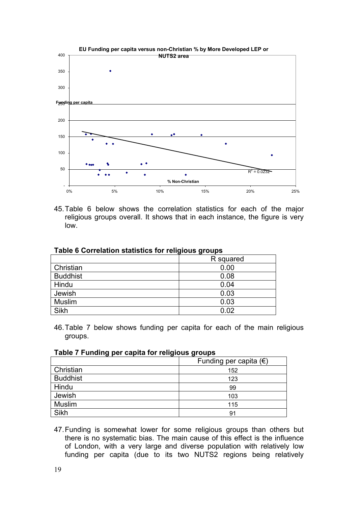

45. Table 6 below shows the correlation statistics for each of the major religious groups overall. It shows that in each instance, the figure is very low.

|                 | R squared |
|-----------------|-----------|
| Christian       | 0.00      |
| <b>Buddhist</b> | 0.08      |
| Hindu           | 0.04      |
| Jewish          | 0.03      |
| <b>Muslim</b>   | 0.03      |
| Sikh            | 0.02      |

#### **Table 6 Correlation statistics for religious groups**

46. Table 7 below shows funding per capita for each of the main religious groups.

| Table 7 Funding per capita for religious groups |  |  |  |  |  |  |
|-------------------------------------------------|--|--|--|--|--|--|
|-------------------------------------------------|--|--|--|--|--|--|

|                 | Funding per capita $(\epsilon)$ |
|-----------------|---------------------------------|
| Christian       | 152                             |
| <b>Buddhist</b> | 123                             |
| Hindu           | 99                              |
| Jewish          | 103                             |
| <b>Muslim</b>   | 115                             |
| Sikh            | 91                              |

47. Funding is somewhat lower for some religious groups than others but there is no systematic bias. The main cause of this effect is the influence of London, with a very large and diverse population with relatively low funding per capita (due to its two NUTS2 regions being relatively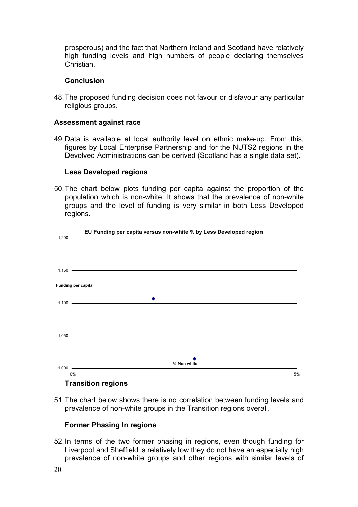prosperous) and the fact that Northern Ireland and Scotland have relatively high funding levels and high numbers of people declaring themselves Christian.

#### **Conclusion**

48.The proposed funding decision does not favour or disfavour any particular religious groups.

#### **Assessment against race**

49.Data is available at local authority level on ethnic make-up. From this, figures by Local Enterprise Partnership and for the NUTS2 regions in the Devolved Administrations can be derived (Scotland has a single data set).

#### **Less Developed regions**

50.The chart below plots funding per capita against the proportion of the population which is non-white. It shows that the prevalence of non-white groups and the level of funding is very similar in both Less Developed regions.



#### **EU Funding per capita versus non-white % by Less Developed region**

#### **Transition regions**

51.The chart below shows there is no correlation between funding levels and prevalence of non-white groups in the Transition regions overall.

#### **Former Phasing In regions**

52.In terms of the two former phasing in regions, even though funding for Liverpool and Sheffield is relatively low they do not have an especially high prevalence of non-white groups and other regions with similar levels of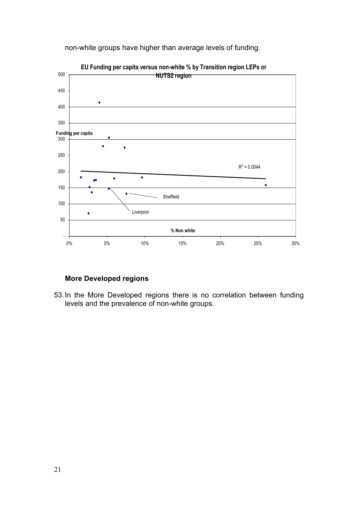

non-white groups have higher than average levels of funding.

## **More Developed regions**

53.In the More Developed regions there is no correlation between funding levels and the prevalence of non-white groups.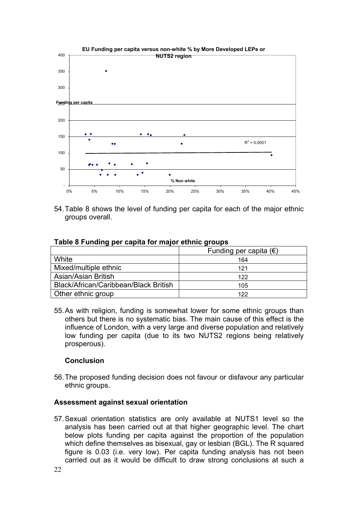

54. Table 8 shows the level of funding per capita for each of the major ethnic groups overall.

#### **Table 8 Funding per capita for major ethnic groups**

|                                       | Funding per capita $(\epsilon)$ |
|---------------------------------------|---------------------------------|
| White                                 | 164                             |
| Mixed/multiple ethnic                 | 121                             |
| Asian/Asian British                   | 122                             |
| Black/African/Caribbean/Black British | 105                             |
| Other ethnic group                    | 122                             |

55. As with religion, funding is somewhat lower for some ethnic groups than others but there is no systematic bias. The main cause of this effect is the influence of London, with a very large and diverse population and relatively low funding per capita (due to its two NUTS2 regions being relatively prosperous).

#### **Conclusion**

56.The proposed funding decision does not favour or disfavour any particular ethnic groups.

#### **Assessment against sexual orientation**

57.Sexual orientation statistics are only available at NUTS1 level so the analysis has been carried out at that higher geographic level. The chart below plots funding per capita against the proportion of the population which define themselves as bisexual, gay or lesbian (BGL). The R squared figure is 0.03 (i.e. very low). Per capita funding analysis has not been carried out as it would be difficult to draw strong conclusions at such a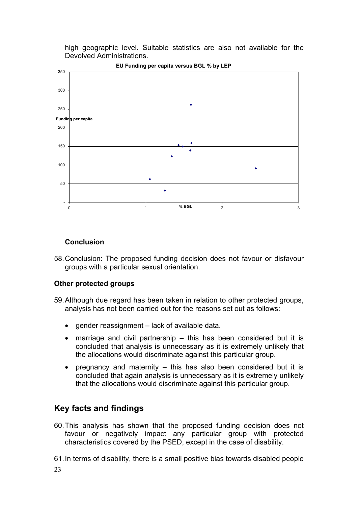high geographic level. Suitable statistics are also not available for the Devolved Administrations.



#### **EU Funding per capita versus BGL % by LEP**

#### **Conclusion**

58.Conclusion: The proposed funding decision does not favour or disfavour groups with a particular sexual orientation.

#### **Other protected groups**

- 59.Although due regard has been taken in relation to other protected groups, analysis has not been carried out for the reasons set out as follows:
	- gender reassignment lack of available data.
	- marriage and civil partnership this has been considered but it is concluded that analysis is unnecessary as it is extremely unlikely that the allocations would discriminate against this particular group.
	- pregnancy and maternity  $-$  this has also been considered but it is concluded that again analysis is unnecessary as it is extremely unlikely that the allocations would discriminate against this particular group.

# **Key facts and findings**

- 60. This analysis has shown that the proposed funding decision does not favour or negatively impact any particular group with protected characteristics covered by the PSED, except in the case of disability.
- 61. In terms of disability, there is a small positive bias towards disabled people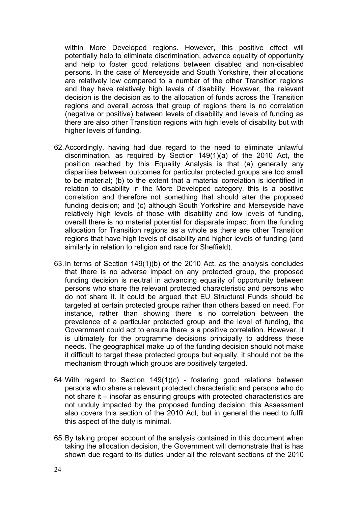within More Developed regions. However, this positive effect will potentially help to eliminate discrimination, advance equality of opportunity and help to foster good relations between disabled and non-disabled persons. In the case of Merseyside and South Yorkshire, their allocations are relatively low compared to a number of the other Transition regions and they have relatively high levels of disability. However, the relevant decision is the decision as to the allocation of funds across the Transition regions and overall across that group of regions there is no correlation (negative or positive) between levels of disability and levels of funding as there are also other Transition regions with high levels of disability but with higher levels of funding.

- 62. Accordingly, having had due regard to the need to eliminate unlawful discrimination, as required by Section 149(1)(a) of the 2010 Act, the position reached by this Equality Analysis is that (a) generally any disparities between outcomes for particular protected groups are too small to be material; (b) to the extent that a material correlation is identified in relation to disability in the More Developed category, this is a positive correlation and therefore not something that should alter the proposed funding decision; and (c) although South Yorkshire and Merseyside have relatively high levels of those with disability and low levels of funding, overall there is no material potential for disparate impact from the funding allocation for Transition regions as a whole as there are other Transition regions that have high levels of disability and higher levels of funding (and similarly in relation to religion and race for Sheffield).
- 63. In terms of Section 149(1)(b) of the 2010 Act, as the analysis concludes that there is no adverse impact on any protected group, the proposed funding decision is neutral in advancing equality of opportunity between persons who share the relevant protected characteristic and persons who do not share it. It could be argued that EU Structural Funds should be targeted at certain protected groups rather than others based on need. For instance, rather than showing there is no correlation between the prevalence of a particular protected group and the level of funding, the Government could act to ensure there is a positive correlation. However, it is ultimately for the programme decisions principally to address these needs. The geographical make up of the funding decision should not make it difficult to target these protected groups but equally, it should not be the mechanism through which groups are positively targeted.
- 64. With regard to Section 149(1)(c) fostering good relations between persons who share a relevant protected characteristic and persons who do not share it – insofar as ensuring groups with protected characteristics are not unduly impacted by the proposed funding decision, this Assessment also covers this section of the 2010 Act, but in general the need to fulfil this aspect of the duty is minimal.
- 65. By taking proper account of the analysis contained in this document when taking the allocation decision, the Government will demonstrate that is has shown due regard to its duties under all the relevant sections of the 2010